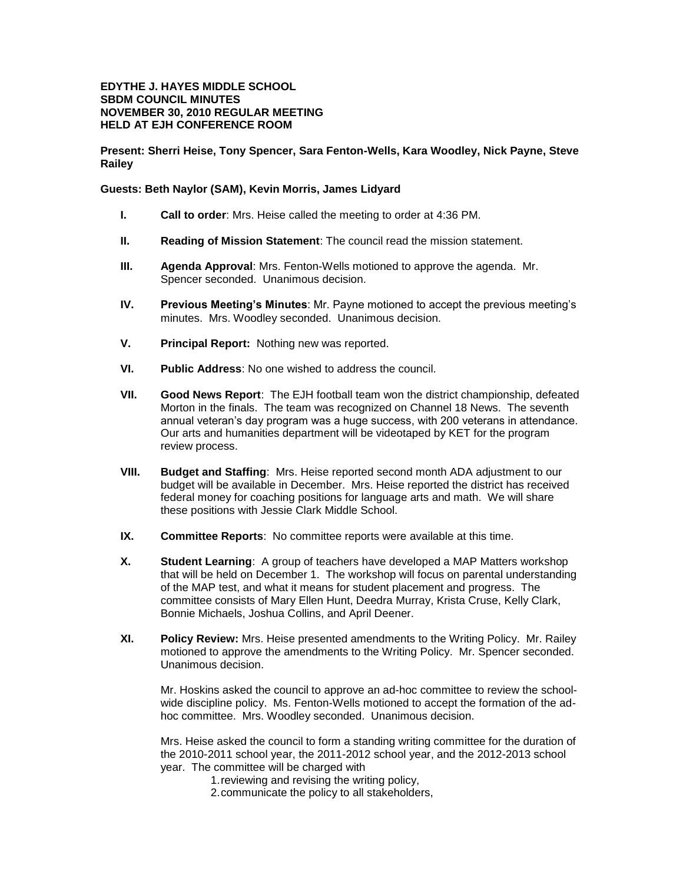## **EDYTHE J. HAYES MIDDLE SCHOOL SBDM COUNCIL MINUTES NOVEMBER 30, 2010 REGULAR MEETING HELD AT EJH CONFERENCE ROOM**

**Present: Sherri Heise, Tony Spencer, Sara Fenton-Wells, Kara Woodley, Nick Payne, Steve Railey**

## **Guests: Beth Naylor (SAM), Kevin Morris, James Lidyard**

- **I. Call to order**: Mrs. Heise called the meeting to order at 4:36 PM.
- **II. Reading of Mission Statement**: The council read the mission statement.
- **III. Agenda Approval**: Mrs. Fenton-Wells motioned to approve the agenda. Mr. Spencer seconded. Unanimous decision.
- **IV. Previous Meeting's Minutes**: Mr. Payne motioned to accept the previous meeting's minutes. Mrs. Woodley seconded. Unanimous decision.
- **V. Principal Report:** Nothing new was reported.
- **VI. Public Address**: No one wished to address the council.
- **VII. Good News Report**: The EJH football team won the district championship, defeated Morton in the finals. The team was recognized on Channel 18 News. The seventh annual veteran's day program was a huge success, with 200 veterans in attendance. Our arts and humanities department will be videotaped by KET for the program review process.
- **VIII. Budget and Staffing**: Mrs. Heise reported second month ADA adjustment to our budget will be available in December. Mrs. Heise reported the district has received federal money for coaching positions for language arts and math. We will share these positions with Jessie Clark Middle School.
- **IX. Committee Reports**: No committee reports were available at this time.
- **X. Student Learning**:A group of teachers have developed a MAP Matters workshop that will be held on December 1. The workshop will focus on parental understanding of the MAP test, and what it means for student placement and progress. The committee consists of Mary Ellen Hunt, Deedra Murray, Krista Cruse, Kelly Clark, Bonnie Michaels, Joshua Collins, and April Deener.
- **XI. Policy Review:** Mrs. Heise presented amendments to the Writing Policy. Mr. Railey motioned to approve the amendments to the Writing Policy. Mr. Spencer seconded. Unanimous decision.

Mr. Hoskins asked the council to approve an ad-hoc committee to review the schoolwide discipline policy. Ms. Fenton-Wells motioned to accept the formation of the adhoc committee. Mrs. Woodley seconded. Unanimous decision.

Mrs. Heise asked the council to form a standing writing committee for the duration of the 2010-2011 school year, the 2011-2012 school year, and the 2012-2013 school year. The committee will be charged with

- 1.reviewing and revising the writing policy,
- 2.communicate the policy to all stakeholders,